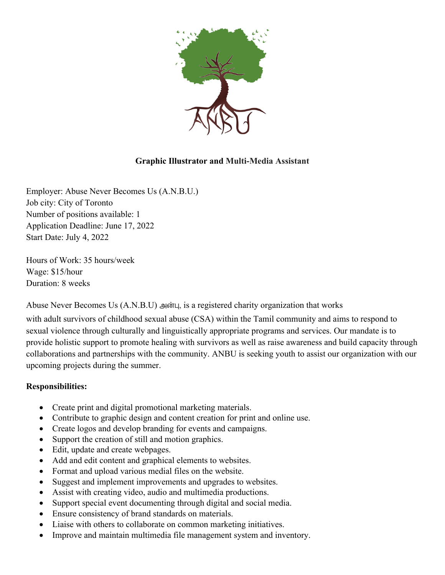

## **Graphic Illustrator and Multi-Media Assistant**

Employer: Abuse Never Becomes Us (A.N.B.U.) Job city: City of Toronto Number of positions available: 1 Application Deadline: June 17, 2022 Start Date: July 4, 2022

Hours of Work: 35 hours/week Wage: \$15/hour Duration: 8 weeks

Abuse Never Becomes Us  $(A.N.B.U)$  அன்பு, is a registered charity organization that works

with adult survivors of childhood sexual abuse (CSA) within the Tamil community and aims to respond to sexual violence through culturally and linguistically appropriate programs and services. Our mandate is to provide holistic support to promote healing with survivors as well as raise awareness and build capacity through collaborations and partnerships with the community. ANBU is seeking youth to assist our organization with our upcoming projects during the summer.

## **Responsibilities:**

- Create print and digital promotional marketing materials.
- Contribute to graphic design and content creation for print and online use.
- Create logos and develop branding for events and campaigns.
- Support the creation of still and motion graphics.
- Edit, update and create webpages.
- Add and edit content and graphical elements to websites.
- Format and upload various medial files on the website.
- Suggest and implement improvements and upgrades to websites.
- Assist with creating video, audio and multimedia productions.
- Support special event documenting through digital and social media.
- Ensure consistency of brand standards on materials.
- Liaise with others to collaborate on common marketing initiatives.
- Improve and maintain multimedia file management system and inventory.